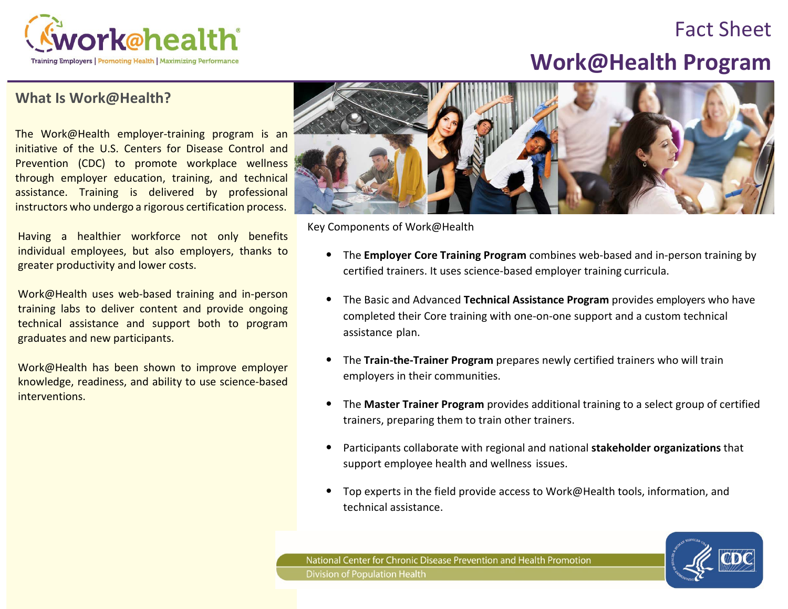

## Fact Sheet

# **Work@Health Program**

#### **What Is Work@Health?**

The Work@Health employer-training program is an initiative of the U.S. Centers for Disease Control and Prevention (CDC) to promote workplace wellness through employer education, training, and technical assistance. Training is delivered by professional instructors who undergo a rigorous certification process.

Having a healthier workforce not only benefits individual employees, but also employers, thanks to greater productivity and lower costs.

Work@Health uses web-based training and in-person training labs to deliver content and provide ongoing technical assistance and support both to program graduates and new participants.

Work@Health has been shown to improve employer knowledge, readiness, and ability to use science-based interventions.



Key Components of Work@Health

- The **Employer Core Training Program** combines web-based and in-person training by certified trainers. It uses science-based employer training curricula.
- The Basic and Advanced **Technical Assistance Program** provides employers who have completed their Core training with one-on-one support and a custom technical assistance plan.
- The **Train-the-Trainer Program** prepares newly certified trainers who will train employers in their communities.
- The **Master Trainer Program** provides additional training to a select group of certified trainers, preparing them to train other trainers.
- Participants collaborate with regional and national **stakeholder organizations** that support employee health and wellness issues.
- Top experts in the field provide access to Work@Health tools, information, and technical assistance.